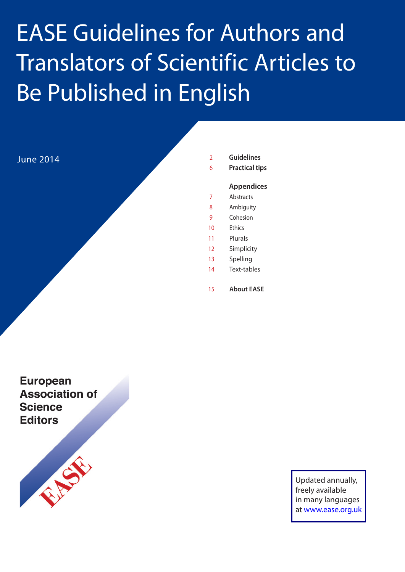# **EASE Guidelines for Authors and Translators of Scientific Articles to** Be Published in English

June 2014

- 2 **Guidelines**
- 6 **Practical tips**

#### **Appendices**

- 7 Abstracts
- 8 Ambiguity
- 9 Cohesion
- 10 Ethics
- 11 Plurals
- 12 Simplicity
- 13 Spelling
- 14 Text-tables
- 15 **About EASE**

**European Association of Science Editors** 



Updated annually, freely available in many languages at [www.ease.org.uk](http://www.ease.org.uk)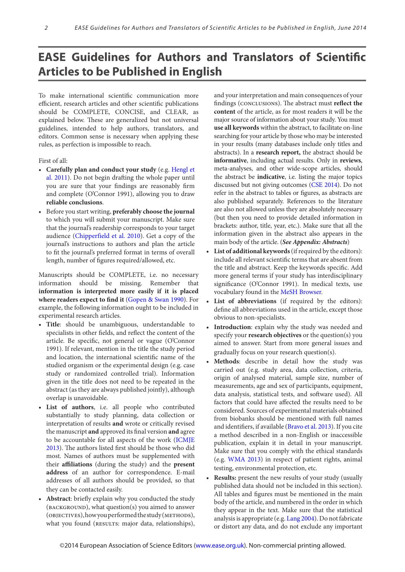# **EASE Guidelines for Authors and Translators of Scientific Articles to be Published in English**

To make international scientific communication more efficient, research articles and other scientific publications should be COMPLETE, CONCISE, and CLEAR, as explained below. These are generalized but not universal guidelines, intended to help authors, translators, and editors. Common sense is necessary when applying these rules, as perfection is impossible to reach.

First of all:

- **• Carefully plan and conduct your study** (e.[g. Hengl et](http://edepot.wur.nl/178013)  [al. 2011](http://edepot.wur.nl/178013)). Do not begin drafting the whole paper until you are sure that your findings are reasonably firm and complete (O'Connor 1991), allowing you to draw **reliable conclusions**.
- • Before you start writing, **preferably choose the journal** to which you will submit your manuscript. Make sure that the journal's readership corresponds to your target audience [\(Chipperfield et al. 2010](http://informahealthcare.com/doi/full/10.1185/03007995.2010.499344 )). Get a copy of the journal's instructions to authors and plan the article to fit the journal's preferred format in terms of overall length, number of figures required/allowed, etc.

Manuscripts should be COMPLETE, i.e. no necessary information should be missing. Remember that **information is interpreted more easily if it is placed where readers expect to find it** [\(Gopen & Swan 1990](http://www-stat.wharton.upenn.edu/~buja/sci.html)). For example, the following information ought to be included in experimental research articles.

- **• Title**: should be unambiguous, understandable to specialists in other fields, and reflect the content of the article. Be specific, not general or vague (O'Connor 1991). If relevant, mention in the title the study period and location, the international scientific name of the studied organism or the experimental design (e.g. case study or randomized controlled trial). Information given in the title does not need to be repeated in the abstract (as they are always published jointly), although overlap is unavoidable.
- List of authors, i.e. all people who contributed substantially to study planning, data collection or interpretation of results **and** wrote or critically revised the manuscript **and** approved its final version **and** agree to be accountable for all aspects of the work [\(ICMJE](http://www.icmje.org/recommendations/)  [201](http://www.icmje.org/recommendations/)3). The authors listed first should be those who did most. Names of authors must be supplemented with their **affiliations** (during the study) and the **present address** of an author for correspondence. E-mail addresses of all authors should be provided, so that they can be contacted easily.
- Abstract: briefly explain why you conducted the study  $($ BACKGROUND $)$ , what question $(s)$  you aimed to answer (OBJECTIVES), how you performed the study (METHODS), what you found (RESULTS: major data, relationships),

and your interpretation and main consequences of your findings (conclusions). The abstract must **reflect the content** of the article, as for most readers it will be the major source of information about your study. You must **use all keywords** within the abstract, to facilitate on-line searching for your article by those who may be interested in your results (many databases include only titles and abstracts). In a **research report,** the abstract should be **informative**, including actual results. Only in **reviews**, meta-analyses, and other wide-scope articles, should the abstract be **indicative**, i.e. listing the major topics discussed but not giving outcomes ([CSE](http://www.scientificstyleandformat.org/Home.html) 2014). Do not refer in the abstract to tables or figures, as abstracts are also published separately. References to the literature are also not allowed unless they are absolutely necessary (but then you need to provide detailed information in brackets: author, title, year, etc.). Make sure that all the information given in the abstract also appears in the main body of the article. (*See Appendix: Abstracts*)

- List of **additional** keywords (if required by the editors): include all relevant scientific terms that are absent from the title and abstract. Keep the keywords specific. Add more general terms if your study has interdisciplinary significance (O'Connor 1991). In medical texts, use vocabulary found in the [MeSH Browser](http://www.nlm.nih.gov/mesh/MBrowser.html).
- List of abbreviations (if required by the editors): define all abbreviations used in the article, except those obvious to non-specialists.
- Introduction: explain why the study was needed and specify your **research objectives** or the question(s) you aimed to answer. Start from more general issues and gradually focus on your research question(s).
- **• Methods**: describe in detail how the study was carried out (e.g. study area, data collection, criteria, origin of analysed material, sample size, number of measurements, age and sex of participants, equipment, data analysis, statistical tests, and software used). All factors that could have affected the results need to be considered. Sources of experimental materials obtained from biobanks should be mentioned with full names and identifiers, if available ([Bravo et al. 2013\)](http://www.ease.org.uk/sites/default/files/essay_bioresources.pdf). If you cite a method described in a non-English or inaccessible publication, explain it in detail in your manuscript. Make sure that you comply with the ethical standards (e.[g. WMA 201](http://www.wma.net/en/30publications/10policies/b3/)3) in respect of patient rights, animal testing, environmental protection, etc.
- **Results:** present the new results of your study (usually published data should not be included in this section). All tables and figures must be mentioned in the main body of the article, and numbered in the order in which they appear in the text. Make sure that the statistical analysis is appropriate (e.g[. Lang 2004](http://www.cmj.hr/2004/45/4/15311405.htm)). Do not fabricate or distort any data, and do not exclude any important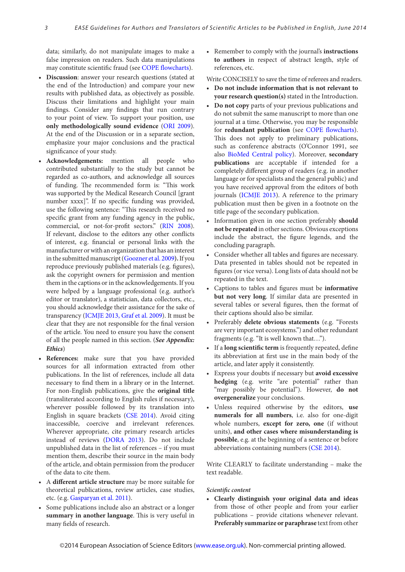data; similarly, do not manipulate images to make a false impression on readers. Such data manipulations may constitute scientific fraud (see [COPE flowcharts\)](http://www.publicationethics.org/resources/flowcharts).

- **• Discussion**: answer your research questions (stated at the end of the Introduction) and compare your new results with published data, as objectively as possible. Discuss their limitations and highlight your main findings. Consider any findings that run contrary to your point of view. To support your position, use **only methodologically sound evidence** [\(ORI 2009](http://ori.hhs.gov/education/products/plagiarism/0.shtml)). At the end of the Discussion or in a separate section, emphasize your major conclusions and the practical significance of your study.
- **Acknowledgements:** mention all people who contributed substantially to the study but cannot be regarded as co-authors, and acknowledge all sources of funding. The recommended form is: "This work was supported by the Medical Research Council [grant number xxxx]". If no specific funding was provided, use the following sentence: "This research received no specific grant from any funding agency in the public, commercial, or not-for-profit sectors." [\(RIN 2008](http://www.rin.ac.uk/our-work/research-funding-policy-and-guidance/acknowledgement-funders-journal-articles)). If relevant, disclose to the editors any other conflicts of interest, e.g. financial or personal links with the manufacturer or with an organization that has an interest in the submitted manuscript [\(Goozner et al. 2009](http://www3.interscience.wiley.com/journal/122637800/abstract)**).**If you reproduce previously published materials (e.g. figures), ask the copyright owners for permission and mention them in the captions or in the acknowledgements. If you were helped by a language professional (e.g. author's editor or translator), a statistician, data collectors, etc., you should acknowledge their assistance for the sake of transparency [\(ICMJE 201](http://www.icmje.org/urm_main.html)3, [Graf et al. 2009](http://www.bmj.com/cgi/content/full/339/nov27_1/b4330)). It must be clear that they are not responsible for the final version of the article. You need to ensure you have the consent of all the people named in this section. (*See Appendix: Ethics*)
- **References:** make sure that you have provided sources for all information extracted from other publications. In the list of references, include all data necessary to find them in a library or in the Internet. For non-English publications, give the **original title** (transliterated according to English rules if necessary), wherever possible followed by its translation into English in square brackets [\(CSE](http://www.scientificstyleandformat.org/Home.html) 2014). Avoid citing inaccessible, coercive and irrelevant references. Wherever appropriate, cite primary research articles instead of reviews [\(DORA](http://am.ascb.org/dora/files/SFDeclarationFINAL.pdf) 2013). Do not include unpublished data in the list of references – if you must mention them, describe their source in the main body of the article, and obtain permission from the producer of the data to cite them.
- • A **different article structure** may be more suitable for theoretical publications, review articles, case studies, etc. (e.g. [Gasparyan et al. 2011\)](http://www.ease.org.uk/sites/default/files/writing-reviews.pdf).
- Some publications include also an abstract or a longer **summary in another language**. This is very useful in many fields of research.

• Remember to comply with the journal's **instructions to authors** in respect of abstract length, style of references, etc.

Write CONCISELY to save the time of referees and readers.

- **• Do not include information that is not relevant to your research question(s)** stated in the Introduction.
- **Do** not copy parts of your previous publications and do not submit the same manuscript to more than one journal at a time. Otherwise, you may be responsible for **redundant publication** (see [COPE flowcharts\)](http://www.publicationethics.org/resources/flowcharts). This does not apply to preliminary publications, such as conference abstracts (O'Connor 1991, see also [BioMed Central policy](http://www.biomedcentral.com/about/duplicatepublication)). Moreover, **secondary publications** are acceptable if intended for a completely different group of readers (e.g. in another language or for specialists and the general public) and you have received approval from the editors of both journals ([ICMJE 201](http://www.icmje.org/recommendations/)3). A reference to the primary publication must then be given in a footnote on the title page of the secondary publication.
- Information given in one section preferably **should not be repeated** in other sections. Obvious exceptions include the abstract, the figure legends, and the concluding paragraph.
- Consider whether all tables and figures are necessary. Data presented in tables should not be repeated in figures (or vice versa). Long lists of data should not be repeated in the text.
- Captions to tables and figures must be **informative but not very long**. If similar data are presented in several tables or several figures, then the format of their captions should also be similar.
- • Preferably **delete obvious statements** (e.g. "Forests are very important ecosystems.") and other redundant fragments (e.g. "It is well known that…").
- • If a **long scientific term** is frequently repeated, define its abbreviation at first use in the main body of the article, and later apply it consistently.
- Express your doubts if necessary but **avoid** excessive **hedging** (e.g. write "are potential" rather than "may possibly be potential"). However, **do not overgeneralize** your conclusions.
- • Unless required otherwise by the editors, **use numerals for all numbers**, i.e. also for one-digit whole numbers, **except for zero, one** (if without units), **and other cases where misunderstanding is possible**, e.g. at the beginning of a sentence or before abbreviations containing numbers [\(CSE](http://www.scientificstyleandformat.org/Home.html) 2014).

Write CLEARLY to facilitate understanding – make the text readable.

#### *Scientific content*

**• Clearly distinguish your original data and ideas** from those of other people and from your earlier publications – provide citations whenever relevant. **Preferably summarize or paraphrase** text from other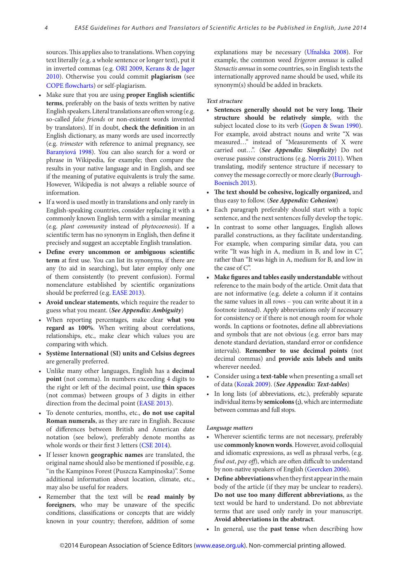sources. This applies also to translations. When copying text literally (e.g. a whole sentence or longer text), put it in inverted commas (e.[g. ORI 2009](http://ori.hhs.gov/education/products/plagiarism/0.shtml), [Kerans & de Jager](http://www.ease.org.uk/pdfese/ESE_aug10.pdf)  [2010](http://www.ease.org.uk/pdfese/ESE_aug10.pdf)). Otherwise you could commit **plagiarism** (see [COPE flowcharts](http://www.publicationethics.org/resources/flowcharts)) or self-plagiarism.

- • Make sure that you are using **proper English scientific terms**, preferably on the basis of texts written by native English speakers.Literal translations are often wrong (e.g. so-called *false friends* or non-existent words invented by translators). If in doubt, **check the definition** in an English dictionary, as many words are used incorrectly (e.g. *trimester* with reference to animal pregnancy, see [Baranyiová 1998\)](http://www.ease.org.uk//pdfguidelines//European_Science_Ending_1998.pdf). You can also search for a word or phrase in Wikipedia, for example; then compare the results in your native language and in English, and see if the meaning of putative equivalents is truly the same. However, Wikipedia is not always a reliable source of information.
- • If a word is used mostly in translations and only rarely in English-speaking countries, consider replacing it with a commonly known English term with a similar meaning (e.g. *plant community* instead of *phytocoenosis*). If a scientific term has no synonym in English, then define it precisely and suggest an acceptable English translation.
- **• Define every uncommon or ambiguous scientific term** at first use. You can list its synonyms, if there are any (to aid in searching), but later employ only one of them consistently (to prevent confusion). Formal nomenclature established by scientific organizations should be preferred (e.g. [EASE](http://www.ease.org.uk/handbook/index.shtml) 2013).
- **• Avoid unclear statements**, which require the reader to guess what you meant. (*See Appendix: Ambiguity*)
- • When reporting percentages, make clear **what you regard as 100%**. When writing about correlations, relationships, etc., make clear which values you are comparing with which.
- **• Système International (SI) units and Celsius degrees** are generally preferred.
- • Unlike many other languages, English has a **decimal point** (not comma). In numbers exceeding 4 digits to the right or left of the decimal point, use **thin spaces** (not commas) between groups of 3 digits in either direction from the decimal point ([EASE](http://www.ease.org.uk/handbook/index.shtml) 2013).
- • To denote centuries, months, etc., **do not use capital Roman numerals**, as they are rare in English. Because of differences between British and American date notation (see below), preferably denote months as whole words or their first 3 letters [\(CSE](http://www.scientificstyleandformat.org/Home.html) 2014).
- • If lesser known **geographic names** are translated, the original name should also be mentioned if possible, e.g. "in the Kampinos Forest (Puszcza Kampinoska)". Some additional information about location, climate, etc., may also be useful for readers.
- Remember that the text will be **read mainly** by **foreigners**, who may be unaware of the specific conditions, classifications or concepts that are widely known in your country; therefore, addition of some

explanations may be necessary ([Ufnalska 2008](http://www.ease.org.uk/pdfesearticles/Articlesaug08p63-9.pdf)). For example, the common weed *Erigeron annuus* is called *Stenactis annua* in some countries, so in English texts the internationally approved name should be used, while its synonym(s) should be added in brackets.

#### *Text structure*

- **• Sentences generally should not be very long. Their structure should be relatively simple**, with the subject located close to its verb [\(Gopen & Swan 1990\)](http://www-stat.wharton.upenn.edu/~buja/sci.html). For example, avoid abstract nouns and write "X was measured…" instead of "Measurements of X were carried out…". (*See Appendix: Simplicity*) Do not overuse passive constructions (e.g[. Norris 2011\)](http://www.ease.org.uk/pdfese/ESE_feb11.pdf). When translating, modify sentence structure if necessary to convey the message correctly or more clearly ([Burrough-](http://www.ease.org.uk/handbook/index.shtml)[Boenisch 2013](http://www.ease.org.uk/handbook/index.shtml)).
- **• The text should be cohesive, logically organized,** and thus easy to follow. (*See Appendix: Cohesion*)
- • Each paragraph preferably should start with a topic sentence, and the next sentences fully develop the topic.
- In contrast to some other languages, English allows parallel constructions, as they facilitate understanding. For example, when comparing similar data, you can write "It was high in A, medium in B, and low in C", rather than "It was high in A, medium for B, and low in the case of C".
- **• Make figures and tables easily understandable** without reference to the main body of the article. Omit data that are not informative (e.g. delete a column if it contains the same values in all rows – you can write about it in a footnote instead). Apply abbreviations only if necessary for consistency or if there is not enough room for whole words. In captions or footnotes, define all abbreviations and symbols that are not obvious (e.g. error bars may denote standard deviation, standard error or confidence intervals). **Remember to use decimal points** (not decimal commas) and **provide axis labels and units** wherever needed.
- • Consider using a **text-table** when presenting a small set of data ([Kozak 2009\)](http://www.ease.org.uk/pdfesearticlesnov09/essays 101-105.pdf). (*See Appendix: Text-tables*)
- • In long lists (of abbreviations, etc.), preferably separate individual items by **semicolons(;)**, which are intermediate between commas and full stops.

#### *Language matters*

- • Wherever scientific terms are not necessary, preferably use **commonly knownwords**. However, avoid colloquial and idiomatic expressions, as well as phrasal verbs, (e.g. *find out*, *pay off*), which are often difficult to understand by non-native speakers of English [\(Geercken 2006\)](http://www.emwa.org/JournalPDFs/J_V15_I2.pdf).
- **Define abbreviations** when they first appear in the main body of the article (if they may be unclear to readers). **Do not use too many different abbreviations**, as the text would be hard to understand. Do not abbreviate terms that are used only rarely in your manuscript. **Avoid abbreviations in the abstract**.
- • In general, use the **past tense** when describing how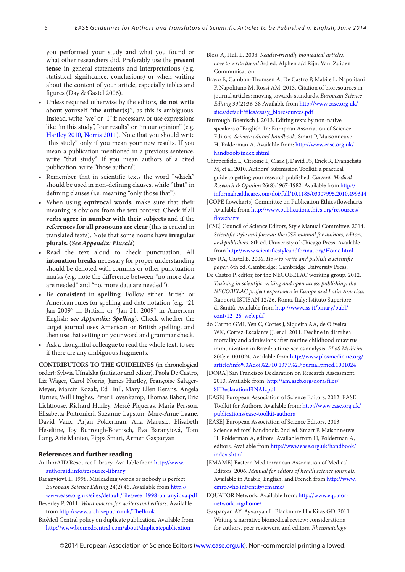you performed your study and what you found or what other researchers did. Preferably use the **present tense** in general statements and interpretations (e.g. statistical significance, conclusions) or when writing about the content of your article, especially tables and figures (Day & Gastel 2006).

- Unless required otherwise by the editors, **do** not write **about yourself "the author(s)"**, as this is ambiguous. Instead, write "we" or "I" if necessary, or use expressions like "in this study", "our results" or "in our opinion" (e.g[.](http://www.ease.org.uk/pdfese/ESE_may10.pdf)  [Hartley 2010](http://www.ease.org.uk/pdfese/ESE_may10.pdf), [Norris 2011](http://www.ease.org.uk/pdfese/ESE_feb11.pdf)). Note that you should write "this study" only if you mean your new results. If you mean a publication mentioned in a previous sentence, write "that study". If you mean authors of a cited publication, write "those authors".
- • Remember that in scientific texts the word "**which**" should be used in non-defining clauses, while "**that**" in defining clauses (i.e. meaning "only those that").
- • When using **equivocal words**, make sure that their meaning is obvious from the text context. Check if all **verbs agree in number with their subjects** and if the **references for all pronouns are clear** (this is crucial in translated texts). Note that some nouns have **irregular plurals.** (*See Appendix: Plurals*)
- • Read the text aloud to check punctuation. All **intonation breaks** necessary for proper understanding should be denoted with commas or other punctuation marks (e.g. note the difference between "no more data are needed" and "no, more data are needed").
- • Be **consistent in spelling**. Follow either British or American rules for spelling and date notation (e.g. "21 Jan 2009" in British, or "Jan 21, 2009" in American English; *see Appendix: Spelling*). Check whether the target journal uses American or British spelling, and then use that setting on your word and grammar check.
- Ask a thoughtful colleague to read the whole text, to see if there are any ambiguous fragments.

**CONTRIBUTORS TO THE GUIDELINES** (in chronological order): Sylwia Ufnalska (initiator and editor), Paola De Castro, Liz Wager, Carol Norris, James Hartley, Françoise Salager-Meyer, Marcin Kozak, Ed Hull, Mary Ellen Kerans, Angela Turner, Will Hughes, Peter Hovenkamp, Thomas Babor, Eric Lichtfouse, Richard Hurley, Mercè Piqueras, Maria Persson, Elisabetta Poltronieri, Suzanne Lapstun, Mare-Anne Laane, David Vaux, Arjan Polderman, Ana Marusic, Elisabeth Heseltine, Joy Burrough-Boenisch, Eva Baranyiová, Tom Lang, Arie Manten, Pippa Smart, Armen Gasparyan

#### **References and further reading**

- AuthorAID Resource Library. Available from [http://www.](http://www.authoraid.info/resource-library) [authoraid.info/resource-library](http://www.authoraid.info/resource-library)
- Baranyiová E. 1998. Misleading words or nobody is perfect. *European Science Editing* 24(2):46. Available from [http://](http://www.ease.org.uk/sites/default/files/ese_1998-baranyiova.pdf) [www.ease.org.uk/sites/default/files/ese\\_1998-baranyiova.pdf](http://www.ease.org.uk/sites/default/files/ese_1998-baranyiova.pdf)
- Beverley P. 2011. *Word macros for writers and editors*. Available from<http://www.archivepub.co.uk/TheBook>
- BioMed Central policy on duplicate publication. Available from <http://www.biomedcentral.com/about/duplicatepublication>
- Bless A, Hull E. 2008. *Reader-friendly biomedical articles: how to write them!* 3rd ed. Alphen a/d Rijn: Van Zuiden Communication.
- Bravo E, Cambon-Thomsen A, De Castro P, Mabile L, Napolitani F, Napolitano M, Rossi AM. 2013. Citation of bioresources in journal articles: moving towards standards. *European Science Editing* 39(2):36-38 Available from [http://www.ease.org.uk/](http://www.ease.org.uk/sites/default/files/essay_bioresources.pdf ) [sites/default/files/essay\\_bioresources.pdf](http://www.ease.org.uk/sites/default/files/essay_bioresources.pdf )
- Burrough-Boenisch J. 2013. Editing texts by non-native speakers of English. In: European Association of Science Editors. *Science editors' handbook*. Smart P, Maisonneuve H, Polderman A. Available from: [http://www.ease.org.uk/](http://www.ease.org.uk/handbook/index.shtml) [handbook/index.shtml](http://www.ease.org.uk/handbook/index.shtml)
- Chipperfield L, Citrome L, Clark J, David FS, Enck R, Evangelista M, et al. 2010. Authors' Submission Toolkit: a practical guide to getting your research published. *Current Medical Research & Opinion* 26(8):1967-1982. Available from [http://](http://informahealthcare.com/doi/full/10.1185/03007995.2010.499344
) [informahealthcare.com/doi/full/10.1185/03007995.2010.499344](http://informahealthcare.com/doi/full/10.1185/03007995.2010.499344
)
- [COPE flowcharts] Committee on Publication Ethics flowcharts. Available from [http://www.publicationethics.org/resources/](http://www.publicationethics.org/resources/flowcharts
) [flowcharts](http://www.publicationethics.org/resources/flowcharts
)
- [CSE] Council of Science Editors, Style Manual Committee. 2014. *Scientific style and format: the CSE manual for authors, editors, and publishers.* 8th ed. Univeristy of Chicago Press. Available from<http://www.scientificstyleandformat.org/Home.html>
- Day RA, Gastel B. 2006. *How to write and publish a scientific paper*. 6th ed. Cambridge: Cambridge University Press.
- De Castro P, editor, for the NECOBELAC working group. 2012. *Training in scientific writing and open access publishing: the NECOBELAC project experience in Europe and Latin America*. Rapporti ISTISAN 12/26. Roma, Italy: Istituto Superiore di Sanità. Available from [http://www.iss.it/binary/publ/](http://www.iss.it/binary/publ/cont/12_26_web.pdf) [cont/12\\_26\\_web.pdf](http://www.iss.it/binary/publ/cont/12_26_web.pdf)
- do Carmo GMI, Yen C, Cortes J, Siqueira AA, de Oliveira WK, Cortez-Escalante II, et al. 2011. Decline in diarrhea mortality and admissions after routine childhood rotavirus immunization in Brazil: a time-series analysis. *PLoS Medicine*  8(4): e1001024. Available from [http://www.plosmedicine.org/](http://www.plosmedicine.org/article/info%3Adoi%2F10.1371%2Fjournal.pmed.1001024) [article/info%3Adoi%2F10.1371%2Fjournal.pmed.1001024](http://www.plosmedicine.org/article/info%3Adoi%2F10.1371%2Fjournal.pmed.1001024)
- [DORA] San Francisco Declaration on Research Assessment. 2013. Available from [http://am.ascb.org/dora/files/](http://am.ascb.org/dora/files/SFDeclarationFINAL.pdf) [SFDeclarationFINAL.pdf](http://am.ascb.org/dora/files/SFDeclarationFINAL.pdf)
- [EASE] European Association of Science Editors. 2012. EASE Toolkit for Authors. Available from: [http://www.ease.org.uk/](http://www.ease.org.uk/publications/ease-toolkit-authors) [publications/ease-toolkit-authors](http://www.ease.org.uk/publications/ease-toolkit-authors)
- [EASE] European Association of Science Editors. 2013. Science editors' handbook. 2nd ed. Smart P, Maisonneuve H, Polderman A, editors. Available from H, Polderman A, editors. Available from [http://www.ease.org.uk/handbook/](http://www.ease.org.uk/handbook/index.shtml) index shtml
- [EMAME] Eastern Mediterranean Association of Medical Editors. 2006. *Manual for editors of health science journals.* Available in Arabic, English, and French from [http://www.](http://www.emro.who.int/entity/emame/
) [emro.who.int/entity/emame/](http://www.emro.who.int/entity/emame/
)
- EQUATOR Network. Available from: [http://www.equator](http://www.equator-network.org/home/)[network.org/home/](http://www.equator-network.org/home/)
- Gasparyan AY, Ayvazyan L, Blackmore H,• Kitas GD. 2011. Writing a narrative biomedical review: considerations for authors, peer reviewers, and editors. *Rheumatology*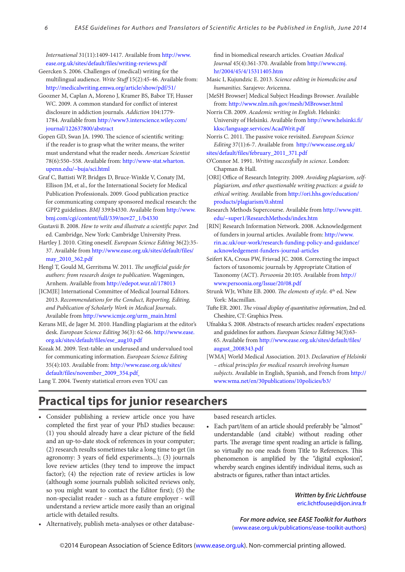*International* 31(11):1409-1417. Available from [http://www.](http://www.ease.org.uk/sites/default/files/writing-reviews.pdf) [ease.org.uk/sites/default/files/writing-reviews.pdf](http://www.ease.org.uk/sites/default/files/writing-reviews.pdf)

- Geercken S. 2006. Challenges of (medical) writing for the multilingual audience. *Write Stuff* 15(2):45-46. Available from: [http://medicalwriting.emwa.org/article/show/pdf/51/](http://medicalwriting.emwa.org/article/show/pdf/51)
- Goozner M, Caplan A, Moreno J, Kramer BS, Babor TF, Husser WC. 2009. A common standard for conflict of interest disclosure in addiction journals. *Addiction* 104:1779- 1784. Available from [http://www3.interscience.wiley.com/](http://www3.interscience.wiley.com/journal/122637800/abstract) [journal/122637800/abstract](http://www3.interscience.wiley.com/journal/122637800/abstract)
- Gopen GD, Swan JA. 1990. The science of scientific writing: if the reader is to grasp what the writer means, the writer must understand what the reader needs. *American Scientist*  78(6):550–558. Available from: [http://www-stat.wharton.](http://www-stat.wharton.upenn.edu/~buja/sci.html) [upenn.edu/~buja/sci.html](http://www-stat.wharton.upenn.edu/~buja/sci.html)
- Graf C, Battisti WP, Bridges D, Bruce-Winkle V, Conaty JM, Ellison JM, et al., for the International Society for Medical Publication Professionals. 2009. Good publication practice for communicating company sponsored medical research: the GPP2 guidelines. *BMJ* 339:b4330. Available from [http://www.](http://www.bmj.com/cgi/content/full/339/nov27_1/b4330) [bmj.com/cgi/content/full/339/nov27\\_1/b4330](http://www.bmj.com/cgi/content/full/339/nov27_1/b4330)
- Gustavii B. 2008. *How to write and illustrate a scientific paper.* 2nd ed*.* Cambridge, New York: Cambridge University Press.
- Hartley J. 2010. Citing oneself. *European Science Editing* 36(2):35- 37. Available from [http://www.ease.org.uk/sites/default/files/](http://www.ease.org.uk/sites/default/files/may_2010_362.pdf ) [may\\_2010\\_362.pdf](http://www.ease.org.uk/sites/default/files/may_2010_362.pdf )
- Hengl T, Gould M, Gerritsma W. 2011. *The unofficial guide for authors: from research design to publication*. Wageningen, Arnhem. Available from <http://edepot.wur.nl/178013>
- [ICMJE] International Committee of Medical Journal Editors. 2013. *Recommendations for the Conduct, Reporting, Editing, and Publication of Scholarly Work in Medical Journals*. Available fro[m http://www.icmje.org/urm\\_main.html](http://www.icmje.org/urm_main.html)
- Kerans ME, de Jager M. 2010. Handling plagiarism at the editor's desk. *European Science Editing* 36(3): 62-66. [http://www.ease.](http://www.ease.org.uk/sites/default/files/ese_aug10.pdf
) [org.uk/sites/default/files/ese\\_aug10.pdf](http://www.ease.org.uk/sites/default/files/ese_aug10.pdf
)
- Kozak M. 2009. Text-table: an underused and undervalued tool for communicating information. *European Science Editing* 35(4):103. Available from: [http://www.ease.org.uk/sites/](http://www.ease.org.uk/sites/default/files/november_2009_354.pdf ) [default/files/november\\_2009\\_354.pdf](http://www.ease.org.uk/sites/default/files/november_2009_354.pdf )

Lang T. 2004. Twenty statistical errors even YOU can

find in biomedical research articles. *Croatian Medical Journal* 45(4):361-370. Available from [http://www.cmj.](http://www.cmj.hr/2004/45/4/15311405.htm) [hr/2004/45/4/15311405.htm](http://www.cmj.hr/2004/45/4/15311405.htm)

- Masic I, Kujundzic E. 2013. *Science editing in biomedicine and humanities*. Sarajevo: Avicenna.
- [MeSH Browser] Medical Subject Headings Browser. Available from:<http://www.nlm.nih.gov/mesh/MBrowser.html>
- Norris CB. 2009. *Academic writing in English*. Helsinki: University of Helsinki. Available from [http://www.helsinki.fi/](http://www.helsinki.fi/kksc/language.services/AcadWrit.pdf
) [kksc/language.services/AcadWrit.pdf](http://www.helsinki.fi/kksc/language.services/AcadWrit.pdf
)
- Norris C. 2011. The passive voice revisited. *European Science Editing* 37(1):6-7. Available from [http://www.ease.org.uk/](http://www.ease.org.uk/
sites/default/files/february_2011_371.pdf
)
- [sites/default/files/february\\_2011\\_371.pdf](http://www.ease.org.uk/
sites/default/files/february_2011_371.pdf
)
- O'Connor M. 1991. *Writing successfully in science*. London: Chapman & Hall.
- [ORI] Office of Research Integrity. 2009. *Avoiding plagiarism, selfplagiarism, and other questionable writing practices: a guide to ethical writing*. Available from [http://ori.hhs.gov/education/](http://ori.hhs.gov/education/products/plagiarism/0.shtml) [products/plagiarism/0.shtml](http://ori.hhs.gov/education/products/plagiarism/0.shtml)
- Research Methods Supercourse. Available from [http://www.pitt.](http://www.pitt.edu/~super1/ResearchMethods/index.htm) [edu/~super1/ResearchMethods/index.htm](http://www.pitt.edu/~super1/ResearchMethods/index.htm)
- [RIN] Research Information Network. 2008. Acknowledgement of funders in journal articles. Available from: [http://www.](http://www.rin.ac.uk/our-work/research-funding-policy-and-guidance/acknowledgement-funders-journal-articles) [rin.ac.uk/our-work/research-funding-policy-and-guidance/](http://www.rin.ac.uk/our-work/research-funding-policy-and-guidance/acknowledgement-funders-journal-articles) [acknowledgement-funders-journal-articles](http://www.rin.ac.uk/our-work/research-funding-policy-and-guidance/acknowledgement-funders-journal-articles)
- Seifert KA, Crous PW, Frisvad JC. 2008. Correcting the impact factors of taxonomic journals by Appropriate Citation of Taxonomy (ACT). *Persoonia* 20:105. Available from [http://](http://www.persoonia.org/Issue/20/08.pdf) [www.persoonia.org/Issue/20/08.pdf](http://www.persoonia.org/Issue/20/08.pdf)
- Strunk WJr, White EB. 2000. *The elements of style*. 4<sup>th</sup> ed. New York: Macmillan.
- Tufte ER. 2001. *The visual display of quantitative information*, 2nd ed. Cheshire, CT: Graphics Press.
- Ufnalska S. 2008. Abstracts of research articles: readers' expectations and guidelines for authors. *European Science Editing* 34(3):63- 65. Available fro[m http://www.ease.org.uk/sites/default/files/](http://www.ease.org.uk/sites/default/files/august_2008343.pdf ) [august\\_2008343.pdf](http://www.ease.org.uk/sites/default/files/august_2008343.pdf )
- [WMA] World Medical Association. 2013. *Declaration of Helsinki – ethical principles for medical research involving human subjects*. Available in English, Spanish, and French from [http://](http://www.wma.net/en/30publications/10policies/b3/) [www.wma.net/en/30publications/10policies/b3/](http://www.wma.net/en/30publications/10policies/b3/)

# **Practical tips for junior researchers**

• Consider publishing a review article once you have completed the first year of your PhD studies because: (1) you should already have a clear picture of the field and an up-to-date stock of references in your computer; (2) research results sometimes take a long time to get (in agronomy: 3 years of field experiments...); (3) journals love review articles (they tend to improve the impact factor); (4) the rejection rate of review articles is low (although some journals publish solicited reviews only, so you might want to contact the Editor first); (5) the non-specialist reader - such as a future employer - will understand a review article more easily than an original article with detailed results.

based research articles.

• Each part/item of an article should preferably be "almost" understandable (and citable) without reading other parts. The average time spent reading an article is falling, so virtually no one reads from Title to References. This phenomenon is amplified by the "digital explosion", whereby search engines identify individual items, such as abstracts or figures, rather than intact articles.

> *Written by Eric Lichtfouse*  [eric.lichtfouse@dijon.inra.fr](mailto:eric.lichtfouse%40dijon.inra.fr?subject=)

• Alternatively, publish meta-analyses or other database-

*For more advice, see EASE Toolkit for Authors* ([www.ease.org.uk/publications/ease-toolkit-authors](http://www.ease.org.uk/publications/ease-toolkit-authors))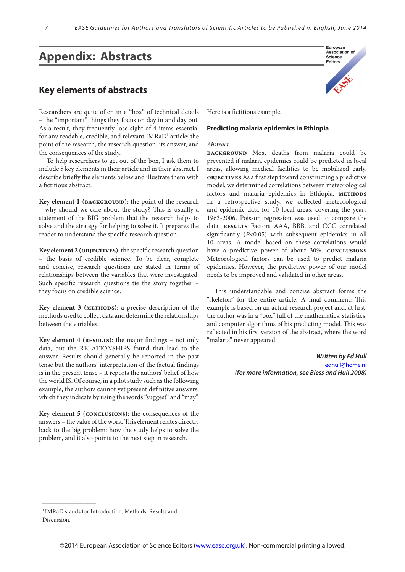# **Appendix: Abstracts**

### **Key elements of abstracts**

Researchers are quite often in a "box" of technical details – the "important" things they focus on day in and day out. As a result, they frequently lose sight of 4 items essential for any readable, credible, and relevant IMRaD<sup>1</sup> article: the point of the research, the research question, its answer, and the consequences of the study.

To help researchers to get out of the box, I ask them to include 5 key elements in their article and in their abstract. I describe briefly the elements below and illustrate them with a fictitious abstract.

**Key element 1** (*BACKGROUND*): the point of the research – why should we care about the study? This is usually a statement of the BIG problem that the research helps to solve and the strategy for helping to solve it. It prepares the reader to understand the specific research question.

**Key element 2 (objectives)**: the specific research question – the basis of credible science. To be clear, complete and concise, research questions are stated in terms of relationships between the variables that were investigated. Such specific research questions tie the story together – they focus on credible science.

**Key element 3 (methods)**: a precise description of the methods used to collect data and determine the relationships between the variables.

**Key element 4 (results)**: the major findings – not only data, but the RELATIONSHIPS found that lead to the answer. Results should generally be reported in the past tense but the authors' interpretation of the factual findings is in the present tense – it reports the authors' belief of how the world IS. Of course, in a pilot study such as the following example, the authors cannot yet present definitive answers, which they indicate by using the words "suggest" and "may".

**Key element 5 (conclusions)**: the consequences of the answers – the value of the work. This element relates directly back to the big problem: how the study helps to solve the problem, and it also points to the next step in research.

Here is a fictitious example.

#### **Predicting malaria epidemics in Ethiopia**

#### *Abstract*

**background** Most deaths from malaria could be prevented if malaria epidemics could be predicted in local areas, allowing medical facilities to be mobilized early. **objectives** As a first step toward constructing a predictive model, we determined correlations between meteorological factors and malaria epidemics in Ethiopia. METHODS In a retrospective study, we collected meteorological and epidemic data for 10 local areas, covering the years 1963-2006. Poisson regression was used to compare the data. **results** Factors AAA, BBB, and CCC correlated significantly (*P*<0.05) with subsequent epidemics in all 10 areas. A model based on these correlations would have a predictive power of about 30%. **conclusions** Meteorological factors can be used to predict malaria epidemics. However, the predictive power of our model needs to be improved and validated in other areas.

This understandable and concise abstract forms the "skeleton" for the entire article. A final comment: This example is based on an actual research project and, at first, the author was in a "box" full of the mathematics, statistics, and computer algorithms of his predicting model. This was reflected in his first version of the abstract, where the word "malaria" never appeared.

> *Written by Ed Hull* [edhull@home.nl](mailto:edhull@home.nl) *(for more information, see Bless and Hull 2008)*

 $\overline{\phantom{a}}$  , and the set of the set of the set of the set of the set of the set of the set of the set of the set of the set of the set of the set of the set of the set of the set of the set of the set of the set of the s



<sup>1</sup> IMRaD stands for Introduction, Methods, Results and Discussion.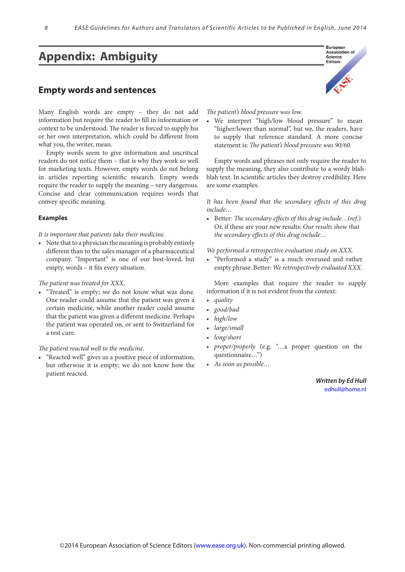# **Appendix: Ambiguity**

### **Empty words and sentences**

Many English words are empty – they do not add information but require the reader to fill in information or context to be understood. The reader is forced to supply his or her own interpretation, which could be different from what you, the writer, mean.

Empty words seem to give information and uncritical readers do not notice them – that is why they work so well for marketing texts. However, empty words do not belong in articles reporting scientific research. Empty words require the reader to supply the meaning – very dangerous. Concise and clear communication requires words that convey specific meaning.

#### **Examples**

*It is important that patients take their medicine.*

• Note that to a physician the meaning is probably entirely different than to the sales manager of a pharmaceutical company. "Important" is one of our best-loved, but empty, words – it fits every situation.

#### *The patient was treated for XXX.*

• "Treated" is empty; we do not know what was done. One reader could assume that the patient was given a certain medicine, while another reader could assume that the patient was given a different medicine. Perhaps the patient was operated on, or sent to Switzerland for a rest cure.

#### *The patient reacted well to the medicine.*

"Reacted well" gives us a positive piece of information, but otherwise it is empty; we do not know how the patient reacted.



#### *The patient's blood pressure was low.*

We interpret "high/low blood pressure" to mean "higher/lower than normal", but we, the readers, have to supply that reference standard. A more concise statement is: *The patient's blood pressure was 90/60.*

Empty words and phrases not only require the reader to supply the meaning, they also contribute to a wordy blahblah text. In scientific articles they destroy credibility. Here are some examples.

*It has been found that the secondary effects of this drug include…*

• Better: *The secondary effects of this drug include…(ref.).*  Or, if these are your new results: *Our results show that the secondary effects of this drug include…*

*We performed a retrospective evaluation study on XXX.*

• "Performed a study" is a much overused and rather empty phrase. Better: *We retrospectively evaluated XXX.*

More examples that require the reader to supply information if it is not evident from the context:

- *• quality*
- *• good/bad*
- *• high/low*
- *• large/small*
- *• long/short*
- *• proper/properly* (e.g. "…a proper question on the questionnaire…")
- *• As soon as possible…*

*Written by Ed Hull*  [edhull@home.nl](mailto:edhull@home.nl)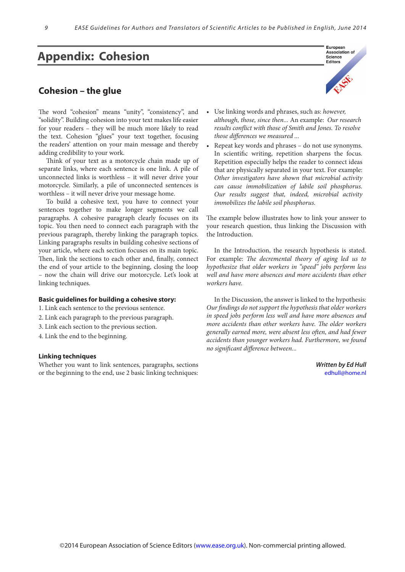# **Appendix: Cohesion**

### **Cohesion – the glue**

The word "cohesion" means "unity", "consistency", and "solidity". Building cohesion into your text makes life easier for your readers – they will be much more likely to read the text. Cohesion "glues" your text together, focusing the readers' attention on your main message and thereby adding credibility to your work.

Think of your text as a motorcycle chain made up of separate links, where each sentence is one link. A pile of unconnected links is worthless – it will never drive your motorcycle. Similarly, a pile of unconnected sentences is worthless – it will never drive your message home.

To build a cohesive text, you have to connect your sentences together to make longer segments we call paragraphs. A cohesive paragraph clearly focuses on its topic. You then need to connect each paragraph with the previous paragraph, thereby linking the paragraph topics. Linking paragraphs results in building cohesive sections of your article, where each section focuses on its main topic. Then, link the sections to each other and, finally, connect the end of your article to the beginning, closing the loop – now the chain will drive our motorcycle. Let's look at linking techniques.

#### **Basic guidelines for building a cohesive story:**

1. Link each sentence to the previous sentence.

- 2. Link each paragraph to the previous paragraph.
- 3. Link each section to the previous section.
- 4. Link the end to the beginning.

#### **Linking techniques**

Whether you want to link sentences, paragraphs, sections or the beginning to the end, use 2 basic linking techniques:



- • Use linking words and phrases, such as: *however, although, those, since then...* An example: *Our research results conflict with those of Smith and Jones. To resolve those differences we measured ...*
- Repeat key words and phrases do not use synonyms. In scientific writing, repetition sharpens the focus. Repetition especially helps the reader to connect ideas that are physically separated in your text. For example: *Other investigators have shown that microbial activity can cause immobilization of labile soil phosphorus. Our results suggest that, indeed, microbial activity immobilizes the labile soil phosphorus.*

The example below illustrates how to link your answer to your research question, thus linking the Discussion with the Introduction.

In the Introduction, the research hypothesis is stated. For example: *The decremental theory of aging led us to hypothesize that older workers in "speed" jobs perform less well and have more absences and more accidents than other workers have.*

In the Discussion, the answer is linked to the hypothesis: *Our findings do not support the hypothesis that older workers in speed jobs perform less well and have more absences and more accidents than other workers have. The older workers generally earned more, were absent less often, and had fewer accidents than younger workers had. Furthermore, we found no significant difference between...* 

> *Written by Ed Hull* [edhull@home.nl](mailto:edhull@home.nl)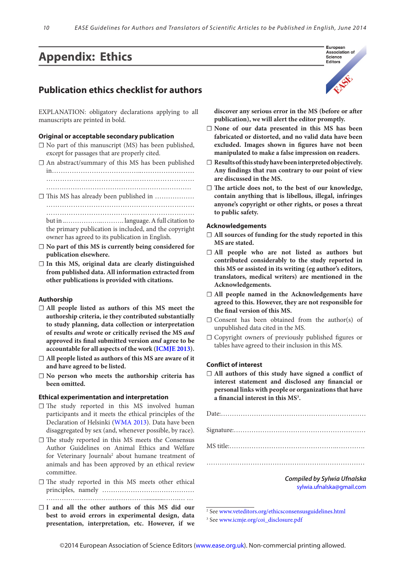# **Appendix: Ethics**

### **Publication ethics checklist for authors**

EXPLANATION: obligatory declarations applying to all manuscripts are printed in bold.

#### **Original or acceptable secondary publication**

- $\Box$  No part of this manuscript (MS) has been published, except for passages that are properly cited.
- $\Box$  An abstract/summary of this MS has been published in…………………………………..…………………… …………………………..…………………………… …………………………………………………………
- ☐ This MS has already been published in ……………… ………………………………………………………… ………………………………………………………………………… but in ..……………..………. language. A full citation to

the primary publication is included, and the copyright owner has agreed to its publication in English.

- ☐ **No part of this MS is currently being considered for publication elsewhere.**
- ☐ **In this MS, original data are clearly distinguished from published data. All information extracted from other publications is provided with citations.**

#### **Authorship**

- ☐ **All people listed as authors of this MS meet the authorship criteria, ie they contributed substantially to study planning, data collection or interpretation of results** *and* **wrote or critically revised the MS** *and* **approved its final submitted version** *and* **agree to be accountable for all aspects of the work [\(ICMJE](http://www.icmje.org/urm_main.html ) 2013).**
- ☐ **All people listed as authors of this MS are aware of it and have agreed to be listed.**
- ☐ **No person who meets the authorship criteria has been omitted.**

#### **Ethical experimentation and interpretation**

- □ The study reported in this MS involved human participants and it meets the ethical principles of the Declaration of Helsinki [\(WMA 201](http://www.wma.net/en/30publications/10policies/b3)3). Data have been disaggregated by sex (and, whenever possible, by race).
- ☐ The study reported in this MS meets the Consensus Author Guidelines on Animal Ethics and Welfare for Veterinary Journals<sup>2</sup> about humane treatment of animals and has been approved by an ethical review committee.
- ☐ The study reported in this MS meets other ethical principles, namely ……………………………………
- ☐ **I and all the other authors of this MS did our best to avoid errors in experimental design, data presentation, interpretation, etc. However, if we**



European

**discover any serious error in the MS (before or after publication), we will alert the editor promptly.**

- ☐ **None of our data presented in this MS has been fabricated or distorted, and no valid data have been excluded. Images shown in figures have not been manipulated to make a false impression on readers.**
- □ Results of this study have been interpreted objectively. **Any findings that run contrary to our point of view are discussed in the MS.**
- ☐ **The article does not, to the best of our knowledge, contain anything that is libellous, illegal, infringes anyone's copyright or other rights, or poses a threat to public safety.**

#### **Acknowledgements**

- ☐ **All sources of funding for the study reported in this MS are stated.**
- ☐ **All people who are not listed as authors but contributed considerably to the study reported in this MS or assisted in its writing (eg author's editors, translators, medical writers) are mentioned in the Acknowledgements.**
- ☐ **All people named in the Acknowledgements have agreed to this. However, they are not responsible for the final version of this MS.**
- $\Box$  Consent has been obtained from the author(s) of unpublished data cited in the MS.
- ☐ Copyright owners of previously published figures or tables have agreed to their inclusion in this MS.

#### **Conflict of interest**

☐ **All authors of this study have signed a conflict of interest statement and disclosed any financial or personal links with people or organizationsthat have a financial interest in this MS3 .**



[sylwia.ufnalska@gmail.com](mailto:sylwia.ufnalska%40gmail.com?subject=)

2 See<www.veteditors.org/ethicsconsensusguidelines.html>

3 See [www.icmje.org/coi\\_disclosure.pdf](www.icmje.org/coi_disclosure.pdf)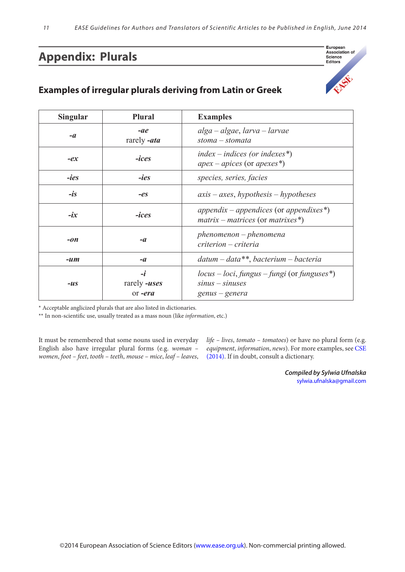# **Appendix: Plurals**

### **Examples of irregular plurals deriving from Latin or Greek**

| <b>Singular</b> | <b>Plural</b>                          | <b>Examples</b>                                                                       |
|-----------------|----------------------------------------|---------------------------------------------------------------------------------------|
| $-a$            | $-ae$<br>rarely -ata                   | $alga - algebrae, larva - larvae$<br>$stoma-stomata$                                  |
| $-ex$           | $-ices$                                | index – indices (or indexes*)<br>$apex - apices$ (or apexes*)                         |
| <i>-ies</i>     | <i>-ies</i>                            | species, series, facies                                                               |
| $-is$           | $-eS$                                  | $axis - axes, hypothesis - hypothesis$                                                |
| $-ix$           | <i><b>-ices</b></i>                    | appendix – appendices (or appendixes*)<br>$matrix - matrices$ (or matrixes*)          |
| $-on$           | $-a$                                   | $phenomenon - phenomena$<br>criterion – criteria                                      |
| $-l$ um         | $-a$                                   | $datum - data**$ , bacterium – bacteria                                               |
| $-us$           | $-i$<br>rarely <b>-uses</b><br>or -era | $locus - loci, fungus - fungi (or funguses^*)$<br>$sinus - sinuses$<br>genus – genera |

\* Acceptable anglicized plurals that are also listed in dictionaries.

\*\* In non-scientific use, usually treated as a mass noun (like *information*, etc.)

It must be remembered that some nouns used in everyday English also have irregular plural forms (e.g. *woman – women*, *foot – feet*, *tooth – teeth*, *mouse – mice*, *leaf – leaves*,

*life – lives*, *tomato – tomatoes*) or have no plural form (e.g. *equipment*, *information*, *news*). For more examples, see [CSE](http://www.scientificstyleandformat.org/Home.html)  [\(2014](http://www.scientificstyleandformat.org/Home.html)). If in doubt, consult a dictionary.

> *Compiled by Sylwia Ufnalska* [sylwia.ufnalska@gmail.com](mailto:sylwia.ufnalska%40gmail.com?subject=)

European<br>Association of Science Editors

EINER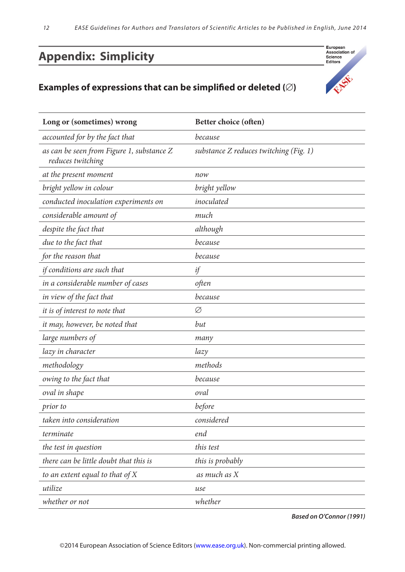# **Appendix: Simplicity**

### **Examples of expressions that can be simplified or deleted (**∅**)**

| Long or (sometimes) wrong                                      | Better choice (often)                  |
|----------------------------------------------------------------|----------------------------------------|
| accounted for by the fact that                                 | because                                |
| as can be seen from Figure 1, substance Z<br>reduces twitching | substance Z reduces twitching (Fig. 1) |
| at the present moment                                          | now                                    |
| bright yellow in colour                                        | bright yellow                          |
| conducted inoculation experiments on                           | inoculated                             |
| considerable amount of                                         | much                                   |
| despite the fact that                                          | although                               |
| due to the fact that                                           | because                                |
| for the reason that                                            | because                                |
| if conditions are such that                                    | if                                     |
| in a considerable number of cases                              | often                                  |
| in view of the fact that                                       | because                                |
| it is of interest to note that                                 | Ø                                      |
| it may, however, be noted that                                 | but                                    |
| large numbers of                                               | many                                   |
| lazy in character                                              | lazy                                   |
| methodology                                                    | methods                                |
| owing to the fact that                                         | because                                |
| oval in shape                                                  | oval                                   |
| prior to                                                       | before                                 |
| taken into consideration                                       | considered                             |
| terminate                                                      | end                                    |
| the test in question                                           | this test                              |
| there can be little doubt that this is                         | this is probably                       |
| to an extent equal to that of $X$                              | as much as X                           |
| utilize                                                        | use                                    |
| whether or not                                                 | whether                                |

*Based on O'Connor (1991)*

European<br>Association of<br>Science<br>Editors

SEE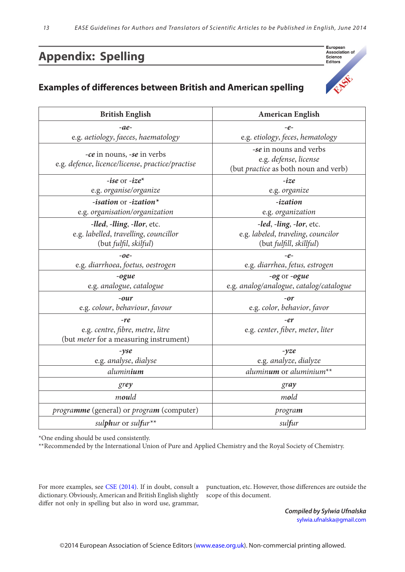# **Appendix: Spelling**

# **Examples of differences between British and American spelling**



| <b>British English</b>                                                                       | <b>American English</b>                                                                        |
|----------------------------------------------------------------------------------------------|------------------------------------------------------------------------------------------------|
| $-ae-$                                                                                       | $-e-$                                                                                          |
| e.g. aetiology, faeces, haematology                                                          | e.g. etiology, feces, hematology                                                               |
| -ce in nouns, -se in verbs<br>e.g. defence, licence/license, practice/practise               | -se in nouns and verbs<br>e.g. defense, license<br>(but <i>practice</i> as both noun and verb) |
| -ise or $-ize^*$                                                                             | $-ize$                                                                                         |
| e.g. organise/organize                                                                       | e.g. organize                                                                                  |
| -isation or -ization*<br>e.g. organisation/organization                                      | -ization<br>e.g. organization                                                                  |
| -lled, -lling, -llor, etc.<br>e.g. labelled, travelling, councillor<br>(but fulfil, skilful) | -led, -ling, -lor, etc.<br>e.g. labeled, traveling, councilor<br>(but fulfill, skillful)       |
| $-oe-$                                                                                       | $-e-$                                                                                          |
| e.g. diarrhoea, foetus, oestrogen                                                            | e.g. diarrhea, fetus, estrogen                                                                 |
| $-ogue$<br>e.g. analogue, catalogue                                                          | -og or -ogue<br>e.g. analog/analogue, catalog/catalogue                                        |
| $-our$                                                                                       | $-or$                                                                                          |
| e.g. colour, behaviour, favour                                                               | e.g. color, behavior, favor                                                                    |
| -re                                                                                          | -er                                                                                            |
| e.g. centre, fibre, metre, litre<br>(but <i>meter</i> for a measuring instrument)            | e.g. center, fiber, meter, liter                                                               |
| $-yse$                                                                                       | $-yze$                                                                                         |
| e.g. analyse, dialyse                                                                        | e.g. analyze, dialyze                                                                          |
| aluminium                                                                                    | aluminum or aluminium <sup>**</sup>                                                            |
| grey                                                                                         | gray                                                                                           |
| mould                                                                                        | mold                                                                                           |
| programme (general) or program (computer)                                                    | program                                                                                        |
| sulphur or sulfur**                                                                          | sulfur                                                                                         |

\*One ending should be used consistently.

\*\*Recommended by the International Union of Pure and Applied Chemistry and the Royal Society of Chemistry.

For more examples, see [CSE \(2014\)](http://www.scientificstyleandformat.org/Home.html). If in doubt, consult a dictionary. Obviously, American and British English slightly differ not only in spelling but also in word use, grammar,

punctuation, etc. However, those differences are outside the scope of this document.

> *Compiled by Sylwia Ufnalska* [sylwia.ufnalska@gmail.com](mailto:sylwia.ufnalska%40gmail.com%0D?subject=)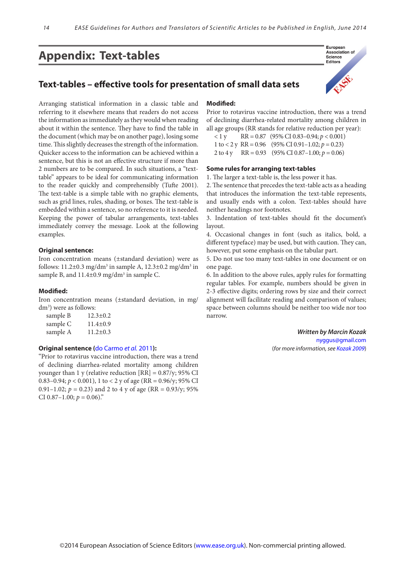# **Appendix: Text-tables**

### **Text-tables – effective tools for presentation of small data sets**

Arranging statistical information in a classic table and referring to it elsewhere means that readers do not access the information as immediately as they would when reading about it within the sentence. They have to find the table in the document (which may be on another page), losing some time. This slightly decreases the strength of the information. Quicker access to the information can be achieved within a sentence, but this is not an effective structure if more than 2 numbers are to be [compared. In](compared.In) such situations, a "texttable" appears to be ideal for communicating information to the reader quickly and comprehensibly (Tufte 2001). The text-table is a simple table with no graphic elements, such as grid lines, rules, shading, or boxes. The text-table is embedded within a sentence, so no reference to it is needed. Keeping the power of tabular arrangements, text-tables immediately convey the message. Look at the following examples.

#### **Original sentence:**

Iron concentration means (±standard deviation) were as follows:  $11.2\pm0.3$  mg/dm<sup>3</sup> in sample A,  $12.3\pm0.2$  mg/dm<sup>3</sup> in sample B, and 11.4±0.9 mg/dm<sup>3</sup> in sample C.

#### **Modified:**

Iron concentration means (±standard deviation, in mg/ dm3 ) were as follows:

| sample B | $12.3 \pm 0.2$ |
|----------|----------------|
| sample C | $11.4 \pm 0.9$ |
| sample A | $11.2 \pm 0.3$ |

#### **Original sentence (**[do Carmo](http://www.plosmedicine.org/article/info%3Adoi%2F10.1371%2Fjournal.pmed.1001024) *et al.* 2011**):**

"Prior to rotavirus vaccine introduction, there was a trend of declining diarrhea-related mortality among children younger than 1 y (relative reduction  $[RR] = 0.87$ /y; 95% CI 0.83–0.94;  $p < 0.001$ ), 1 to  $< 2y$  of age (RR = 0.96/y; 95% CI 0.91–1.02;  $p = 0.23$ ) and 2 to 4 y of age (RR = 0.93/y; 95%) CI 0.87-1.00;  $p = 0.06$ )."

#### **Modified:**

Prior to rotavirus vaccine introduction, there was a trend of declining diarrhea-related mortality among children in all age groups (RR stands for relative reduction per year):

 $<$  1 y RR = 0.87 (95% CI 0.83–0.94;  $p < 0.001$ ) 1 to < 2 y RR =  $0.96$  (95% CI 0.91-1.02;  $p = 0.23$ ) 2 to 4 y RR = 0.93 (95% CI 0.87–1.00; *p* = 0.06)

#### **Some rules for arranging text-tables**

1. The larger a text-table is, the less power it has.

2. The sentence that precedes the text-table acts as a heading that introduces the information the text-table represents, and usually ends with a colon. Text-tables should have neither headings nor footnotes.

3. Indentation of text-tables should fit the document's layout.

4. Occasional changes in font (such as italics, bold, a different typeface) may be used, but with caution. They can, however, put some emphasis on the tabular part.

5. Do not use too many text-tables in one document or on one page.

6. In addition to the above rules, apply rules for formatting regular tables. For example, numbers should be given in 2-3 effective digits; ordering rows by size and their correct alignment will facilitate reading and comparison of values; space between columns should be neither too wide nor too narrow.

> *Written by Marcin Kozak* <nyggus@gmail.com> (*for more information, see [Kozak 2009](http://www.ease.org.uk/pdfesearticlesnov09/essays%20101-105.pdf)*)

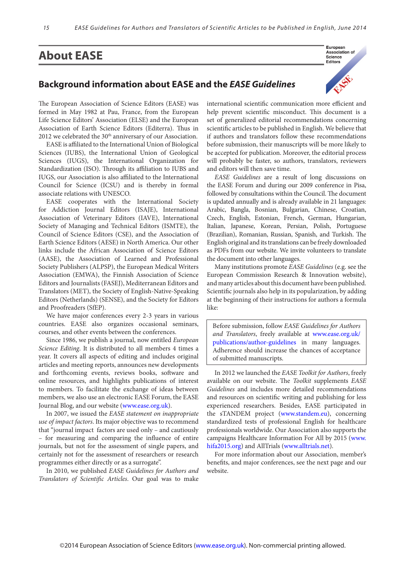# **About EASE**

### **Background information about EASE and the** *EASE Guidelines*



The European Association of Science Editors (EASE) was formed in May 1982 at Pau, France, from the European Life Science Editors' Association (ELSE) and the European Association of Earth Science Editors (Editerra). Thus in 2012 we celebrated the 30<sup>th</sup> anniversary of our Association.

EASE is affiliated to the International Union of Biological Sciences (IUBS), the International Union of Geological Sciences (IUGS), the International Organization for Standardization (ISO). Through its affiliation to IUBS and IUGS, our Association is also affiliated to the International Council for Science (ICSU) and is thereby in formal associate relations with UNESCO.

EASE cooperates with the International Society for Addiction Journal Editors (ISAJE), International Association of Veterinary Editors (IAVE), International Society of Managing and Technical Editors (ISMTE), the Council of Science Editors (CSE), and the Association of Earth Science Editors (AESE) in North America. Our other links include the African Association of Science Editors (AASE), the Association of Learned and Professional Society Publishers (ALPSP), the European Medical Writers Association (EMWA), the Finnish Association of Science Editors and Journalists (FASEJ), Mediterranean Editors and Translators (MET), the Society of English-Native-Speaking Editors (Netherlands) (SENSE), and the Society for Editors and Proofreaders (SfEP).

We have major conferences every 2-3 years in various countries. EASE also organizes occasional seminars, courses, and other events between the conferences.

Since 1986, we publish a journal, now entitled *European Science Editing*. It is distributed to all members 4 times a year. It covers all aspects of editing and includes original articles and meeting reports, announces new developments and forthcoming events, reviews books, software and online resources, and highlights publications of interest to members. To facilitate the exchange of ideas between members, we also use an electronic EASE Forum, the EASE Journal Blog, and our website [\(www.ease.org.uk](http://www.ease.org.uk)).

In 2007, we issued the *EASE statement on inappropriate use of impact factors*. Its major objective was to recommend that "journal impact factors are used only – and cautiously – for measuring and comparing the influence of entire journals, but not for the assessment of single papers, and certainly not for the assessment of researchers or research programmes either directly or as a surrogate".

In 2010, we published *EASE Guidelines for Authors and Translators of Scientific Articles*. Our goal was to make

international scientific communication more efficient and help prevent scientific misconduct. This document is a set of generalized editorial recommendations concerning scientific articles to be published in English. We believe that if authors and translators follow these recommendations before submission, their manuscripts will be more likely to be accepted for publication. Moreover, the editorial process will probably be faster, so authors, translators, reviewers and editors will then save time.

*EASE Guidelines* are a result of long discussions on the EASE Forum and during our 2009 conference in Pisa, followed by consultations within the Council. The document is updated annually and is already available in 21 languages: Arabic, Bangla, Bosnian, Bulgarian, Chinese, Croatian, Czech, English, Estonian, French, German, Hungarian, Italian, Japanese, Korean, Persian, Polish, Portuguese (Brazilian), Romanian, Russian, Spanish, and Turkish. The English original and its translations can be freely downloaded as PDFs from our website. We invite volunteers to translate the document into other languages.

Many institutions promote *EASE Guidelines* (e.g. see the European Commission Research & Innovation website), and many articles about this document have been published. Scientific journals also help in its popularization, by adding at the beginning of their instructions for authors a formula like:

Before submission, follow *EASE Guidelines for Authors and Translators*, freely available at [www.ease.org.uk/](http://www.ease.org.uk/publications/author-guidelines) [publications/author-guidelines](http://www.ease.org.uk/publications/author-guidelines) in many languages. Adherence should increase the chances of acceptance of submitted manuscripts.

In 2012 we launched the *EASE Toolkit for Authors*, freely available on our website. The *Toolkit* supplements *EASE Guidelines* and includes more detailed recommendations and resources on scientific writing and publishing for less experienced researchers. Besides, EASE participated in the sTANDEM project ([www.standem.eu](http://www.standem.eu)), concerning standardized tests of professional English for healthcare professionals worldwide. Our Association also supports the campaigns Healthcare Information For All by 2015 [\(www.](http://www.hifa2015.org) [hifa2015.org](http://www.hifa2015.org)) and AllTrials ([www.alltrials.net\)](www.alltrials.net).

For more information about our Association, member's benefits, and major conferences, see the next page and our website.